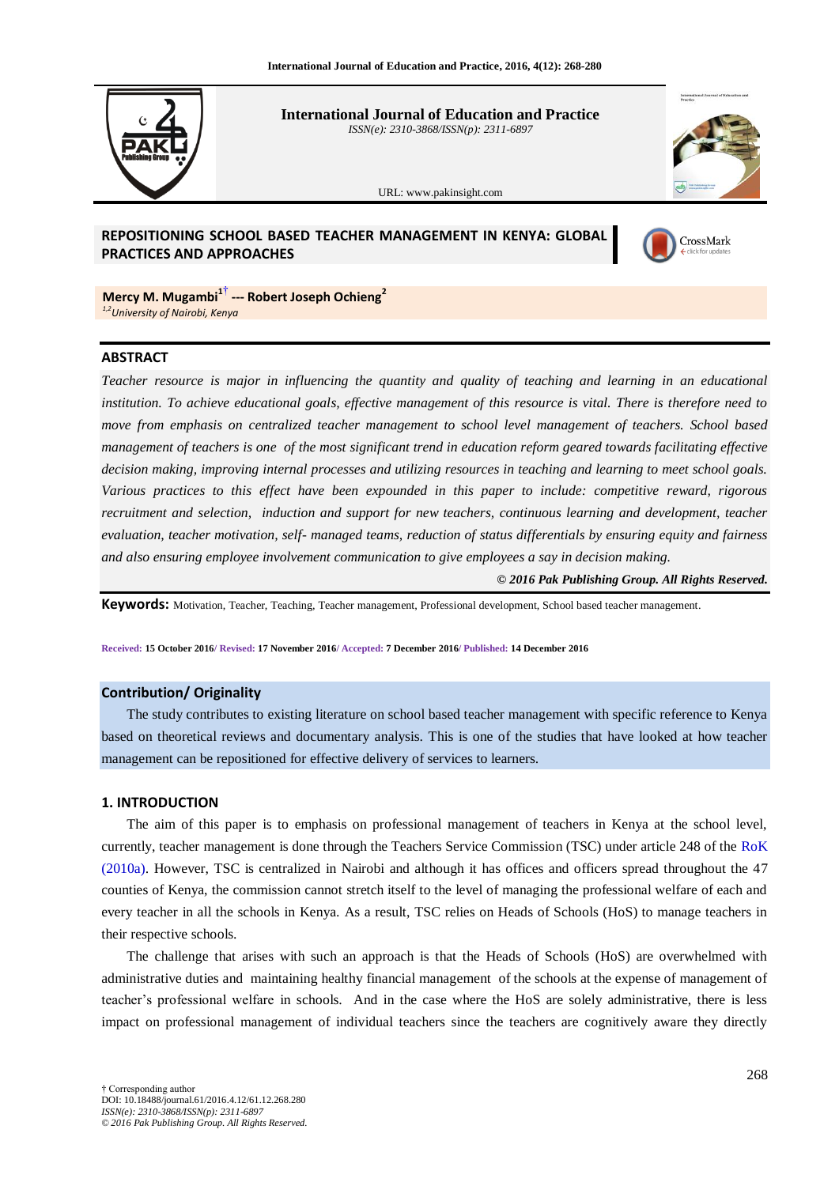

**International Journal of Education and Practice** *ISSN(e): 2310-3868/ISSN(p): 2311-6897*

URL: www.pakinsight.com



# **REPOSITIONING SCHOOL BASED TEACHER MANAGEMENT IN KENYA: GLOBAL PRACTICES AND APPROACHES**



**Mercy M. Mugambi<sup>1</sup>**[†](#page-0-0) **--- Robert Joseph Ochieng<sup>2</sup>** *1,2University of Nairobi, Kenya*

## **ABSTRACT**

*Teacher resource is major in influencing the quantity and quality of teaching and learning in an educational institution. To achieve educational goals, effective management of this resource is vital. There is therefore need to move from emphasis on centralized teacher management to school level management of teachers. School based management of teachers is one of the most significant trend in education reform geared towards facilitating effective decision making, improving internal processes and utilizing resources in teaching and learning to meet school goals. Various practices to this effect have been expounded in this paper to include: competitive reward, rigorous recruitment and selection, induction and support for new teachers, continuous learning and development, teacher evaluation, teacher motivation, self- managed teams, reduction of status differentials by ensuring equity and fairness and also ensuring employee involvement communication to give employees a say in decision making.*

*© 2016 Pak Publishing Group. All Rights Reserved.*

**Keywords:** Motivation, Teacher, Teaching, Teacher management, Professional development, School based teacher management.

**Received: 15 October 2016/ Revised: 17 November 2016/ Accepted: 7 December 2016/ Published: 14 December 2016**

## **Contribution/ Originality**

The study contributes to existing literature on school based teacher management with specific reference to Kenya based on theoretical reviews and documentary analysis. This is one of the studies that have looked at how teacher management can be repositioned for effective delivery of services to learners.

## **1. INTRODUCTION**

The aim of this paper is to emphasis on professional management of teachers in Kenya at the school level, currently, teacher management is done through the Teachers Service Commission (TSC) under article 248 of the [RoK](#page-12-0)  [\(2010a\)](#page-12-0). However, TSC is centralized in Nairobi and although it has offices and officers spread throughout the 47 counties of Kenya, the commission cannot stretch itself to the level of managing the professional welfare of each and every teacher in all the schools in Kenya. As a result, TSC relies on Heads of Schools (HoS) to manage teachers in their respective schools.

<span id="page-0-0"></span>The challenge that arises with such an approach is that the Heads of Schools (HoS) are overwhelmed with administrative duties and maintaining healthy financial management of the schools at the expense of management of teacher"s professional welfare in schools. And in the case where the HoS are solely administrative, there is less impact on professional management of individual teachers since the teachers are cognitively aware they directly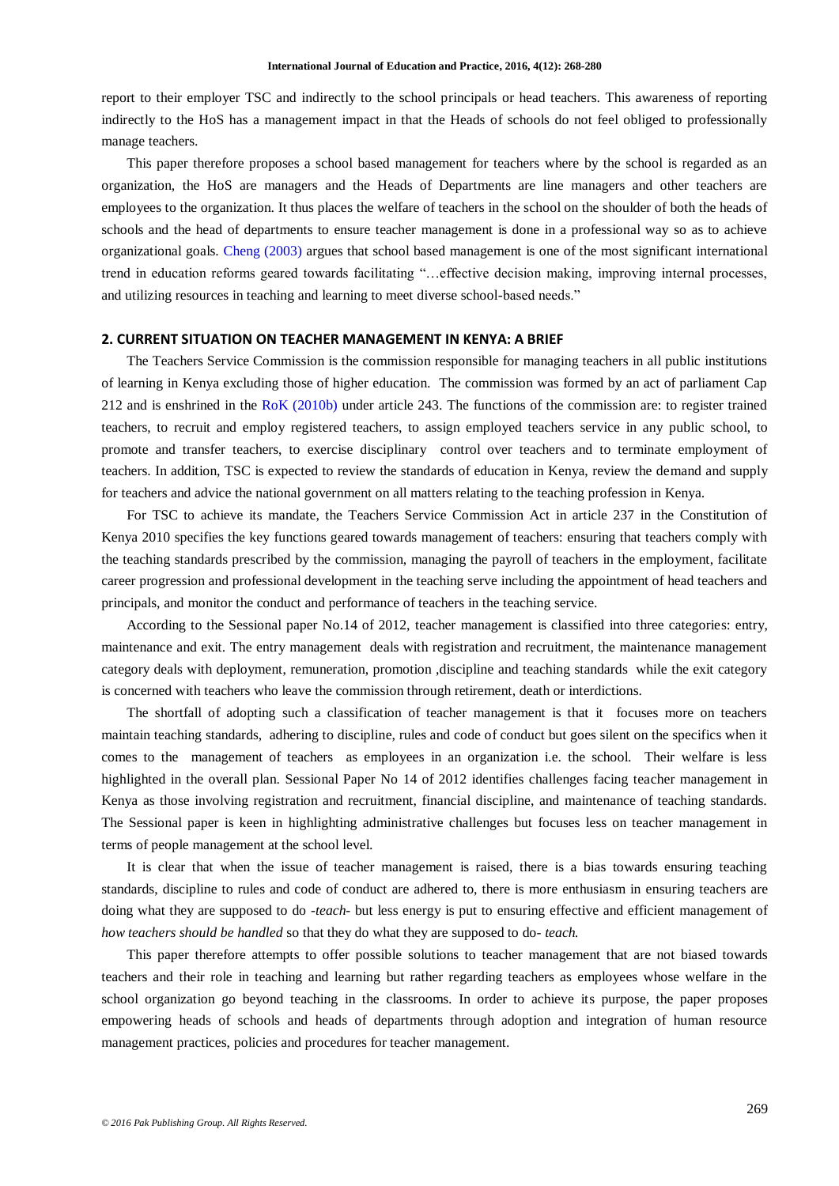report to their employer TSC and indirectly to the school principals or head teachers. This awareness of reporting indirectly to the HoS has a management impact in that the Heads of schools do not feel obliged to professionally manage teachers.

This paper therefore proposes a school based management for teachers where by the school is regarded as an organization, the HoS are managers and the Heads of Departments are line managers and other teachers are employees to the organization. It thus places the welfare of teachers in the school on the shoulder of both the heads of schools and the head of departments to ensure teacher management is done in a professional way so as to achieve organizational goals. [Cheng \(2003\)](#page-11-0) argues that school based management is one of the most significant international trend in education reforms geared towards facilitating "…effective decision making, improving internal processes, and utilizing resources in teaching and learning to meet diverse school-based needs."

## **2. CURRENT SITUATION ON TEACHER MANAGEMENT IN KENYA: A BRIEF**

The Teachers Service Commission is the commission responsible for managing teachers in all public institutions of learning in Kenya excluding those of higher education. The commission was formed by an act of parliament Cap 212 and is enshrined in the [RoK \(2010b\)](#page-12-1) under article 243. The functions of the commission are: to register trained teachers, to recruit and employ registered teachers, to assign employed teachers service in any public school, to promote and transfer teachers, to exercise disciplinary control over teachers and to terminate employment of teachers. In addition, TSC is expected to review the standards of education in Kenya, review the demand and supply for teachers and advice the national government on all matters relating to the teaching profession in Kenya.

For TSC to achieve its mandate, the Teachers Service Commission Act in article 237 in the Constitution of Kenya 2010 specifies the key functions geared towards management of teachers: ensuring that teachers comply with the teaching standards prescribed by the commission, managing the payroll of teachers in the employment, facilitate career progression and professional development in the teaching serve including the appointment of head teachers and principals, and monitor the conduct and performance of teachers in the teaching service.

According to the Sessional paper No.14 of 2012, teacher management is classified into three categories: entry, maintenance and exit. The entry management deals with registration and recruitment, the maintenance management category deals with deployment, remuneration, promotion ,discipline and teaching standards while the exit category is concerned with teachers who leave the commission through retirement, death or interdictions.

The shortfall of adopting such a classification of teacher management is that it focuses more on teachers maintain teaching standards, adhering to discipline, rules and code of conduct but goes silent on the specifics when it comes to the management of teachers as employees in an organization i.e. the school. Their welfare is less highlighted in the overall plan. Sessional Paper No 14 of 2012 identifies challenges facing teacher management in Kenya as those involving registration and recruitment, financial discipline, and maintenance of teaching standards. The Sessional paper is keen in highlighting administrative challenges but focuses less on teacher management in terms of people management at the school level.

It is clear that when the issue of teacher management is raised, there is a bias towards ensuring teaching standards, discipline to rules and code of conduct are adhered to, there is more enthusiasm in ensuring teachers are doing what they are supposed to do *-teach-* but less energy is put to ensuring effective and efficient management of *how teachers should be handled* so that they do what they are supposed to do- *teach.* 

This paper therefore attempts to offer possible solutions to teacher management that are not biased towards teachers and their role in teaching and learning but rather regarding teachers as employees whose welfare in the school organization go beyond teaching in the classrooms. In order to achieve its purpose, the paper proposes empowering heads of schools and heads of departments through adoption and integration of human resource management practices, policies and procedures for teacher management.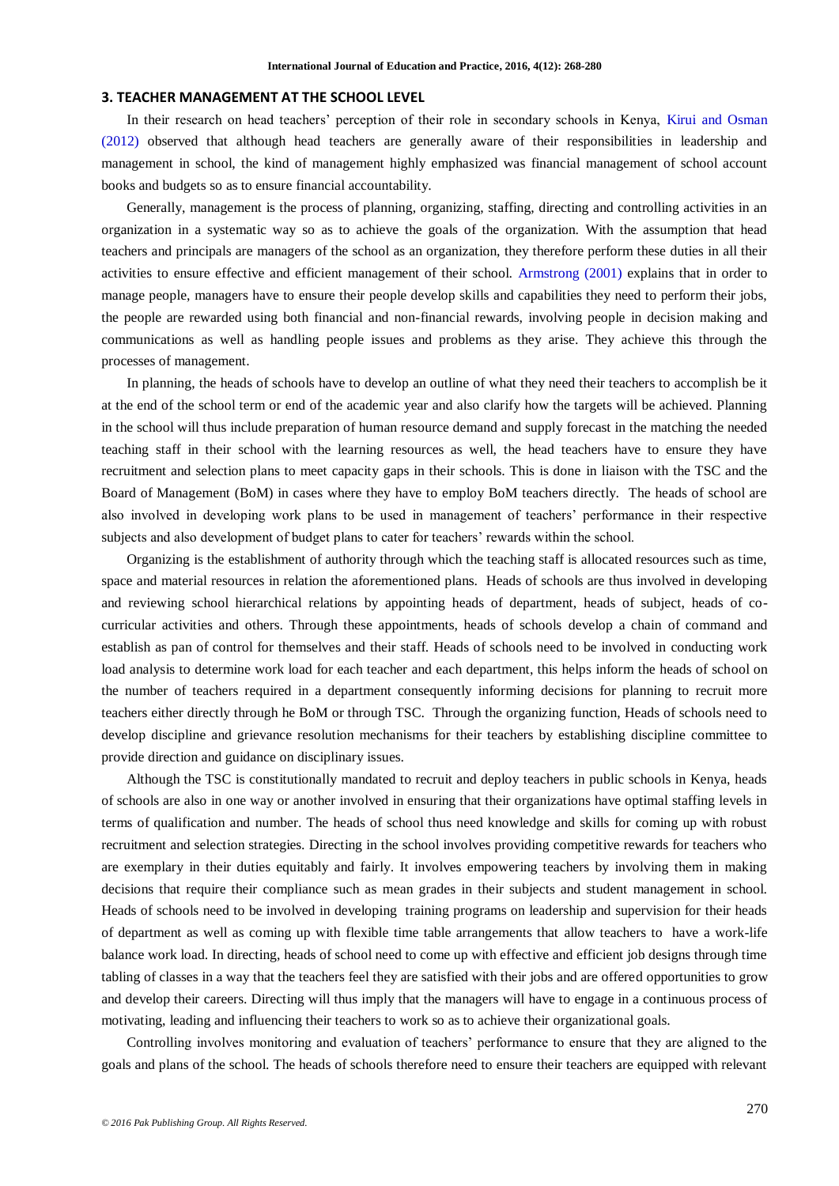### **3. TEACHER MANAGEMENT AT THE SCHOOL LEVEL**

In their research on head teachers" perception of their role in secondary schools in Kenya, [Kirui and Osman](#page-11-1)  [\(2012\)](#page-11-1) observed that although head teachers are generally aware of their responsibilities in leadership and management in school, the kind of management highly emphasized was financial management of school account books and budgets so as to ensure financial accountability.

Generally, management is the process of planning, organizing, staffing, directing and controlling activities in an organization in a systematic way so as to achieve the goals of the organization. With the assumption that head teachers and principals are managers of the school as an organization, they therefore perform these duties in all their activities to ensure effective and efficient management of their school. [Armstrong \(2001\)](#page-11-2) explains that in order to manage people, managers have to ensure their people develop skills and capabilities they need to perform their jobs, the people are rewarded using both financial and non-financial rewards, involving people in decision making and communications as well as handling people issues and problems as they arise. They achieve this through the processes of management.

In planning, the heads of schools have to develop an outline of what they need their teachers to accomplish be it at the end of the school term or end of the academic year and also clarify how the targets will be achieved. Planning in the school will thus include preparation of human resource demand and supply forecast in the matching the needed teaching staff in their school with the learning resources as well, the head teachers have to ensure they have recruitment and selection plans to meet capacity gaps in their schools. This is done in liaison with the TSC and the Board of Management (BoM) in cases where they have to employ BoM teachers directly. The heads of school are also involved in developing work plans to be used in management of teachers" performance in their respective subjects and also development of budget plans to cater for teachers' rewards within the school.

Organizing is the establishment of authority through which the teaching staff is allocated resources such as time, space and material resources in relation the aforementioned plans. Heads of schools are thus involved in developing and reviewing school hierarchical relations by appointing heads of department, heads of subject, heads of cocurricular activities and others. Through these appointments, heads of schools develop a chain of command and establish as pan of control for themselves and their staff. Heads of schools need to be involved in conducting work load analysis to determine work load for each teacher and each department, this helps inform the heads of school on the number of teachers required in a department consequently informing decisions for planning to recruit more teachers either directly through he BoM or through TSC. Through the organizing function, Heads of schools need to develop discipline and grievance resolution mechanisms for their teachers by establishing discipline committee to provide direction and guidance on disciplinary issues.

Although the TSC is constitutionally mandated to recruit and deploy teachers in public schools in Kenya, heads of schools are also in one way or another involved in ensuring that their organizations have optimal staffing levels in terms of qualification and number. The heads of school thus need knowledge and skills for coming up with robust recruitment and selection strategies. Directing in the school involves providing competitive rewards for teachers who are exemplary in their duties equitably and fairly. It involves empowering teachers by involving them in making decisions that require their compliance such as mean grades in their subjects and student management in school. Heads of schools need to be involved in developing training programs on leadership and supervision for their heads of department as well as coming up with flexible time table arrangements that allow teachers to have a work-life balance work load. In directing, heads of school need to come up with effective and efficient job designs through time tabling of classes in a way that the teachers feel they are satisfied with their jobs and are offered opportunities to grow and develop their careers. Directing will thus imply that the managers will have to engage in a continuous process of motivating, leading and influencing their teachers to work so as to achieve their organizational goals.

Controlling involves monitoring and evaluation of teachers" performance to ensure that they are aligned to the goals and plans of the school. The heads of schools therefore need to ensure their teachers are equipped with relevant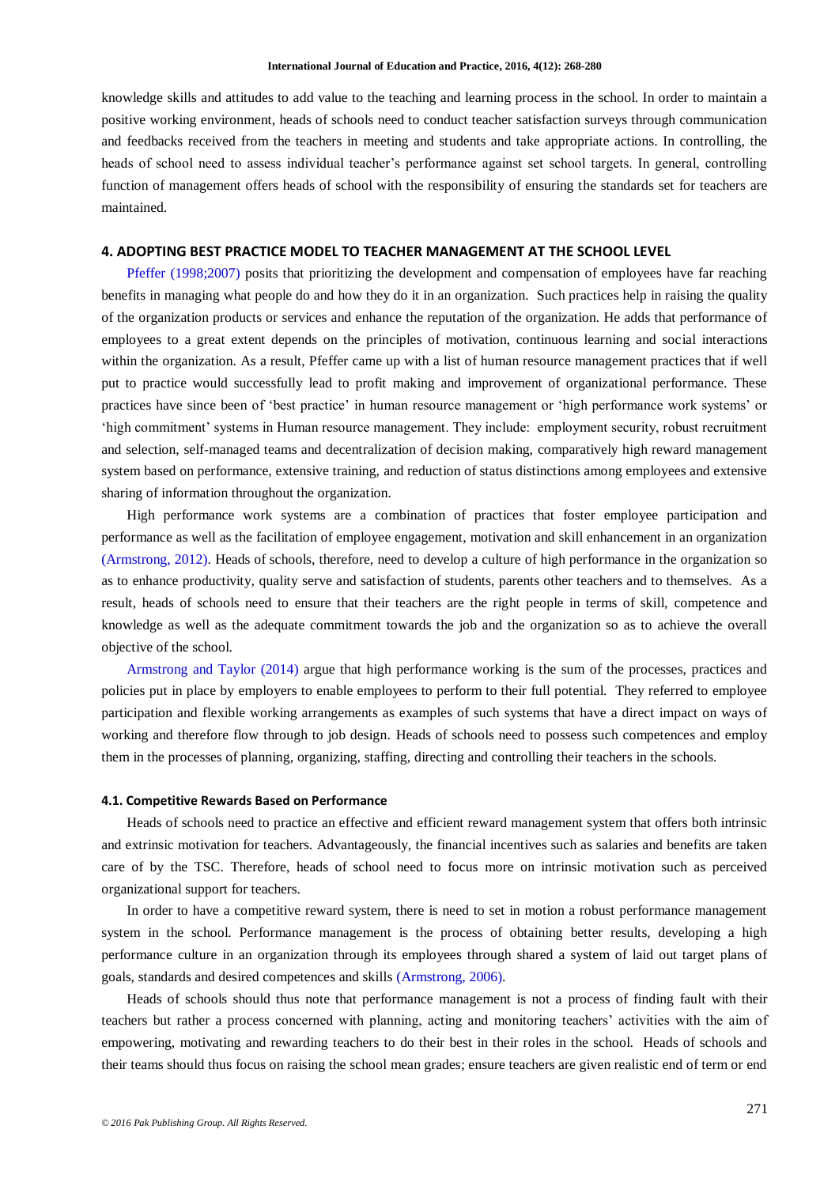knowledge skills and attitudes to add value to the teaching and learning process in the school. In order to maintain a positive working environment, heads of schools need to conduct teacher satisfaction surveys through communication and feedbacks received from the teachers in meeting and students and take appropriate actions. In controlling, the heads of school need to assess individual teacher"s performance against set school targets. In general, controlling function of management offers heads of school with the responsibility of ensuring the standards set for teachers are maintained.

### **4. ADOPTING BEST PRACTICE MODEL TO TEACHER MANAGEMENT AT THE SCHOOL LEVEL**

[Pfeffer \(1998;2007\)](#page-12-2) posits that prioritizing the development and compensation of employees have far reaching benefits in managing what people do and how they do it in an organization. Such practices help in raising the quality of the organization products or services and enhance the reputation of the organization. He adds that performance of employees to a great extent depends on the principles of motivation, continuous learning and social interactions within the organization. As a result, Pfeffer came up with a list of human resource management practices that if well put to practice would successfully lead to profit making and improvement of organizational performance. These practices have since been of "best practice" in human resource management or "high performance work systems" or "high commitment" systems in Human resource management. They include: employment security, robust recruitment and selection, self-managed teams and decentralization of decision making, comparatively high reward management system based on performance, extensive training, and reduction of status distinctions among employees and extensive sharing of information throughout the organization.

High performance work systems are a combination of practices that foster employee participation and performance as well as the facilitation of employee engagement, motivation and skill enhancement in an organization [\(Armstrong, 2012\)](#page-11-3). Heads of schools, therefore, need to develop a culture of high performance in the organization so as to enhance productivity, quality serve and satisfaction of students, parents other teachers and to themselves. As a result, heads of schools need to ensure that their teachers are the right people in terms of skill, competence and knowledge as well as the adequate commitment towards the job and the organization so as to achieve the overall objective of the school.

[Armstrong and Taylor \(2014\)](#page-11-4) argue that high performance working is the sum of the processes, practices and policies put in place by employers to enable employees to perform to their full potential. They referred to employee participation and flexible working arrangements as examples of such systems that have a direct impact on ways of working and therefore flow through to job design. Heads of schools need to possess such competences and employ them in the processes of planning, organizing, staffing, directing and controlling their teachers in the schools.

### **4.1. Competitive Rewards Based on Performance**

Heads of schools need to practice an effective and efficient reward management system that offers both intrinsic and extrinsic motivation for teachers. Advantageously, the financial incentives such as salaries and benefits are taken care of by the TSC. Therefore, heads of school need to focus more on intrinsic motivation such as perceived organizational support for teachers.

In order to have a competitive reward system, there is need to set in motion a robust performance management system in the school. Performance management is the process of obtaining better results, developing a high performance culture in an organization through its employees through shared a system of laid out target plans of goals, standards and desired competences and skills [\(Armstrong, 2006\)](#page-11-5).

Heads of schools should thus note that performance management is not a process of finding fault with their teachers but rather a process concerned with planning, acting and monitoring teachers" activities with the aim of empowering, motivating and rewarding teachers to do their best in their roles in the school. Heads of schools and their teams should thus focus on raising the school mean grades; ensure teachers are given realistic end of term or end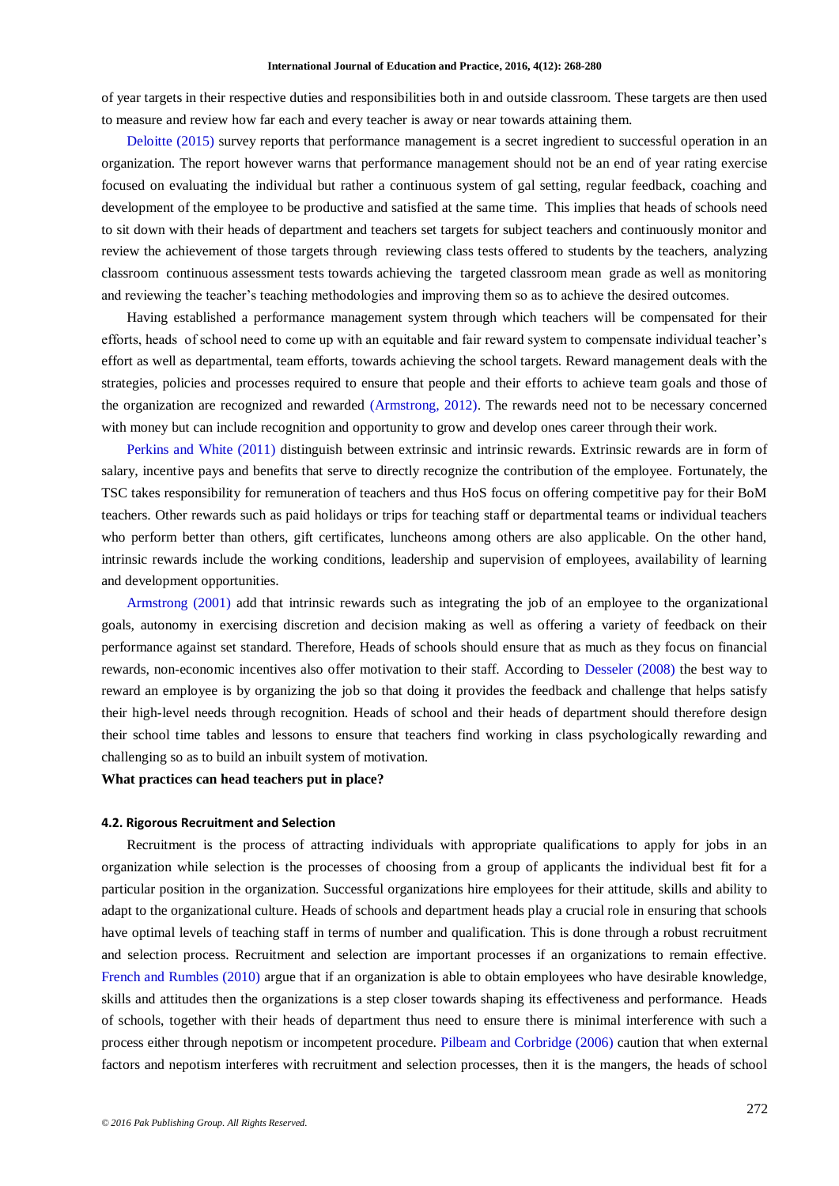of year targets in their respective duties and responsibilities both in and outside classroom. These targets are then used to measure and review how far each and every teacher is away or near towards attaining them.

[Deloitte \(2015\)](#page-11-6) survey reports that performance management is a secret ingredient to successful operation in an organization. The report however warns that performance management should not be an end of year rating exercise focused on evaluating the individual but rather a continuous system of gal setting, regular feedback, coaching and development of the employee to be productive and satisfied at the same time. This implies that heads of schools need to sit down with their heads of department and teachers set targets for subject teachers and continuously monitor and review the achievement of those targets through reviewing class tests offered to students by the teachers, analyzing classroom continuous assessment tests towards achieving the targeted classroom mean grade as well as monitoring and reviewing the teacher"s teaching methodologies and improving them so as to achieve the desired outcomes.

Having established a performance management system through which teachers will be compensated for their efforts, heads of school need to come up with an equitable and fair reward system to compensate individual teacher"s effort as well as departmental, team efforts, towards achieving the school targets. Reward management deals with the strategies, policies and processes required to ensure that people and their efforts to achieve team goals and those of the organization are recognized and rewarded [\(Armstrong, 2012\)](#page-11-3). The rewards need not to be necessary concerned with money but can include recognition and opportunity to grow and develop ones career through their work.

[Perkins and White \(2011\)](#page-12-3) distinguish between extrinsic and intrinsic rewards. Extrinsic rewards are in form of salary, incentive pays and benefits that serve to directly recognize the contribution of the employee. Fortunately, the TSC takes responsibility for remuneration of teachers and thus HoS focus on offering competitive pay for their BoM teachers. Other rewards such as paid holidays or trips for teaching staff or departmental teams or individual teachers who perform better than others, gift certificates, luncheons among others are also applicable. On the other hand, intrinsic rewards include the working conditions, leadership and supervision of employees, availability of learning and development opportunities.

[Armstrong \(2001\)](#page-11-2) add that intrinsic rewards such as integrating the job of an employee to the organizational goals, autonomy in exercising discretion and decision making as well as offering a variety of feedback on their performance against set standard. Therefore, Heads of schools should ensure that as much as they focus on financial rewards, non-economic incentives also offer motivation to their staff. According to [Desseler \(2008\)](#page-11-7) the best way to reward an employee is by organizing the job so that doing it provides the feedback and challenge that helps satisfy their high-level needs through recognition. Heads of school and their heads of department should therefore design their school time tables and lessons to ensure that teachers find working in class psychologically rewarding and challenging so as to build an inbuilt system of motivation.

**What practices can head teachers put in place?**

## **4.2. Rigorous Recruitment and Selection**

Recruitment is the process of attracting individuals with appropriate qualifications to apply for jobs in an organization while selection is the processes of choosing from a group of applicants the individual best fit for a particular position in the organization. Successful organizations hire employees for their attitude, skills and ability to adapt to the organizational culture. Heads of schools and department heads play a crucial role in ensuring that schools have optimal levels of teaching staff in terms of number and qualification. This is done through a robust recruitment and selection process. Recruitment and selection are important processes if an organizations to remain effective. [French and Rumbles \(2010\)](#page-11-8) argue that if an organization is able to obtain employees who have desirable knowledge, skills and attitudes then the organizations is a step closer towards shaping its effectiveness and performance. Heads of schools, together with their heads of department thus need to ensure there is minimal interference with such a process either through nepotism or incompetent procedure. [Pilbeam and Corbridge \(2006\)](#page-12-4) caution that when external factors and nepotism interferes with recruitment and selection processes, then it is the mangers, the heads of school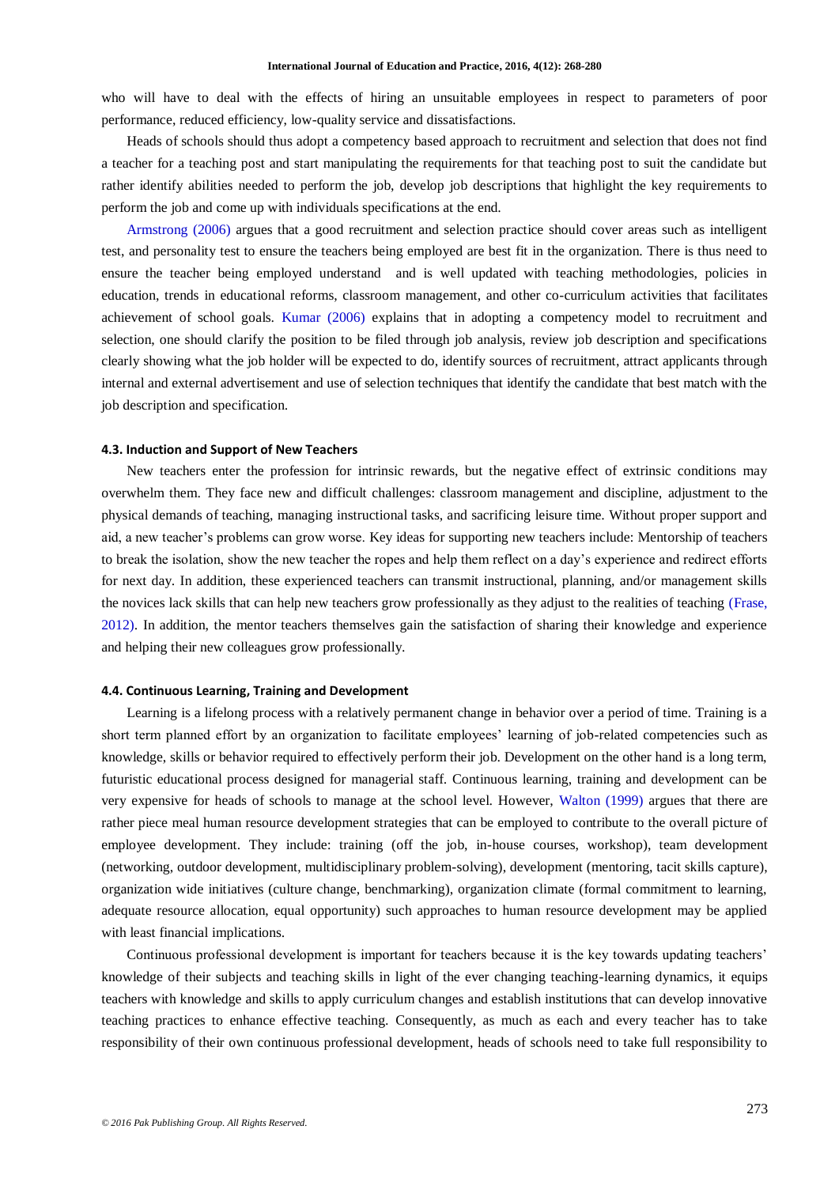who will have to deal with the effects of hiring an unsuitable employees in respect to parameters of poor performance, reduced efficiency, low-quality service and dissatisfactions.

Heads of schools should thus adopt a competency based approach to recruitment and selection that does not find a teacher for a teaching post and start manipulating the requirements for that teaching post to suit the candidate but rather identify abilities needed to perform the job, develop job descriptions that highlight the key requirements to perform the job and come up with individuals specifications at the end.

[Armstrong \(2006\)](#page-11-5) argues that a good recruitment and selection practice should cover areas such as intelligent test, and personality test to ensure the teachers being employed are best fit in the organization. There is thus need to ensure the teacher being employed understand and is well updated with teaching methodologies, policies in education, trends in educational reforms, classroom management, and other co-curriculum activities that facilitates achievement of school goals. [Kumar \(2006\)](#page-11-9) explains that in adopting a competency model to recruitment and selection, one should clarify the position to be filed through job analysis, review job description and specifications clearly showing what the job holder will be expected to do, identify sources of recruitment, attract applicants through internal and external advertisement and use of selection techniques that identify the candidate that best match with the job description and specification.

### **4.3. Induction and Support of New Teachers**

New teachers enter the profession for intrinsic rewards, but the negative effect of extrinsic conditions may overwhelm them. They face new and difficult challenges: classroom management and discipline, adjustment to the physical demands of teaching, managing instructional tasks, and sacrificing leisure time. Without proper support and aid, a new teacher"s problems can grow worse. Key ideas for supporting new teachers include: Mentorship of teachers to break the isolation, show the new teacher the ropes and help them reflect on a day"s experience and redirect efforts for next day. In addition, these experienced teachers can transmit instructional, planning, and/or management skills the novices lack skills that can help new teachers grow professionally as they adjust to the realities of teaching [\(Frase,](#page-11-10)  [2012\)](#page-11-10). In addition, the mentor teachers themselves gain the satisfaction of sharing their knowledge and experience and helping their new colleagues grow professionally.

### **4.4. Continuous Learning, Training and Development**

Learning is a lifelong process with a relatively permanent change in behavior over a period of time. Training is a short term planned effort by an organization to facilitate employees' learning of job-related competencies such as knowledge, skills or behavior required to effectively perform their job. Development on the other hand is a long term, futuristic educational process designed for managerial staff. Continuous learning, training and development can be very expensive for heads of schools to manage at the school level. However, [Walton \(1999\)](#page-12-5) argues that there are rather piece meal human resource development strategies that can be employed to contribute to the overall picture of employee development. They include: training (off the job, in-house courses, workshop), team development (networking, outdoor development, multidisciplinary problem-solving), development (mentoring, tacit skills capture), organization wide initiatives (culture change, benchmarking), organization climate (formal commitment to learning, adequate resource allocation, equal opportunity) such approaches to human resource development may be applied with least financial implications.

Continuous professional development is important for teachers because it is the key towards updating teachers" knowledge of their subjects and teaching skills in light of the ever changing teaching-learning dynamics, it equips teachers with knowledge and skills to apply curriculum changes and establish institutions that can develop innovative teaching practices to enhance effective teaching. Consequently, as much as each and every teacher has to take responsibility of their own continuous professional development, heads of schools need to take full responsibility to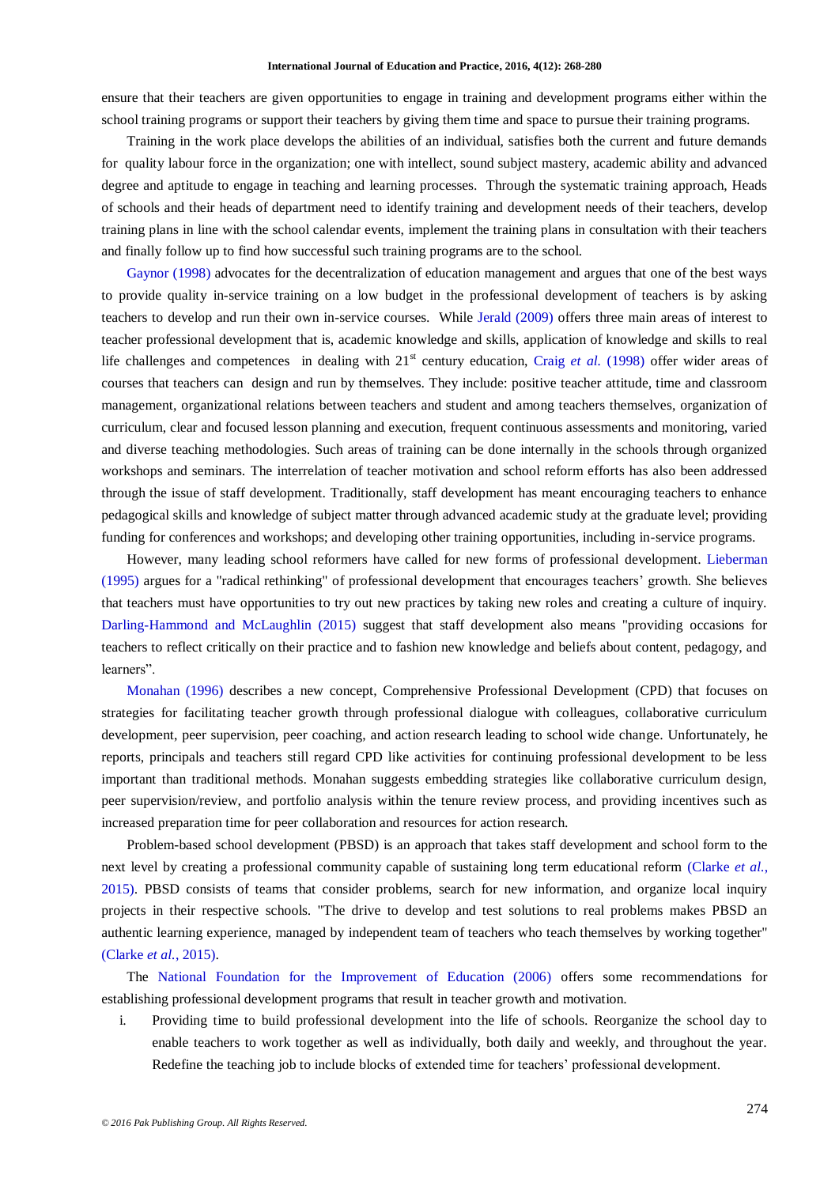ensure that their teachers are given opportunities to engage in training and development programs either within the school training programs or support their teachers by giving them time and space to pursue their training programs.

Training in the work place develops the abilities of an individual, satisfies both the current and future demands for quality labour force in the organization; one with intellect, sound subject mastery, academic ability and advanced degree and aptitude to engage in teaching and learning processes. Through the systematic training approach, Heads of schools and their heads of department need to identify training and development needs of their teachers, develop training plans in line with the school calendar events, implement the training plans in consultation with their teachers and finally follow up to find how successful such training programs are to the school.

[Gaynor \(1998\)](#page-11-11) advocates for the decentralization of education management and argues that one of the best ways to provide quality in-service training on a low budget in the professional development of teachers is by asking teachers to develop and run their own in-service courses. While [Jerald \(2009\)](#page-11-12) offers three main areas of interest to teacher professional development that is, academic knowledge and skills, application of knowledge and skills to real life challenges and competences in dealing with 21<sup>st</sup> century education, Craig *et al.* [\(1998\)](#page-11-13) offer wider areas of courses that teachers can design and run by themselves. They include: positive teacher attitude, time and classroom management, organizational relations between teachers and student and among teachers themselves, organization of curriculum, clear and focused lesson planning and execution, frequent continuous assessments and monitoring, varied and diverse teaching methodologies. Such areas of training can be done internally in the schools through organized workshops and seminars. The interrelation of teacher motivation and school reform efforts has also been addressed through the issue of staff development. Traditionally, staff development has meant encouraging teachers to enhance pedagogical skills and knowledge of subject matter through advanced academic study at the graduate level; providing funding for conferences and workshops; and developing other training opportunities, including in-service programs.

However, many leading school reformers have called for new forms of professional development. [Lieberman](#page-11-14)  [\(1995\)](#page-11-14) argues for a "radical rethinking" of professional development that encourages teachers" growth. She believes that teachers must have opportunities to try out new practices by taking new roles and creating a culture of inquiry. [Darling-Hammond and McLaughlin \(2015\)](#page-11-15) suggest that staff development also means "providing occasions for teachers to reflect critically on their practice and to fashion new knowledge and beliefs about content, pedagogy, and learners".

[Monahan \(1996\)](#page-11-16) describes a new concept, Comprehensive Professional Development (CPD) that focuses on strategies for facilitating teacher growth through professional dialogue with colleagues, collaborative curriculum development, peer supervision, peer coaching, and action research leading to school wide change. Unfortunately, he reports, principals and teachers still regard CPD like activities for continuing professional development to be less important than traditional methods. Monahan suggests embedding strategies like collaborative curriculum design, peer supervision/review, and portfolio analysis within the tenure review process, and providing incentives such as increased preparation time for peer collaboration and resources for action research.

Problem-based school development (PBSD) is an approach that takes staff development and school form to the next level by creating a professional community capable of sustaining long term educational reform [\(Clarke](#page-11-17) *et al.*, [2015\)](#page-11-17). PBSD consists of teams that consider problems, search for new information, and organize local inquiry projects in their respective schools. "The drive to develop and test solutions to real problems makes PBSD an authentic learning experience, managed by independent team of teachers who teach themselves by working together" [\(Clarke](#page-11-17) *et al.*, 2015).

The [National Foundation for the Improvement of Education \(2006\)](#page-12-6) offers some recommendations for establishing professional development programs that result in teacher growth and motivation.

i. Providing time to build professional development into the life of schools. Reorganize the school day to enable teachers to work together as well as individually, both daily and weekly, and throughout the year. Redefine the teaching job to include blocks of extended time for teachers" professional development.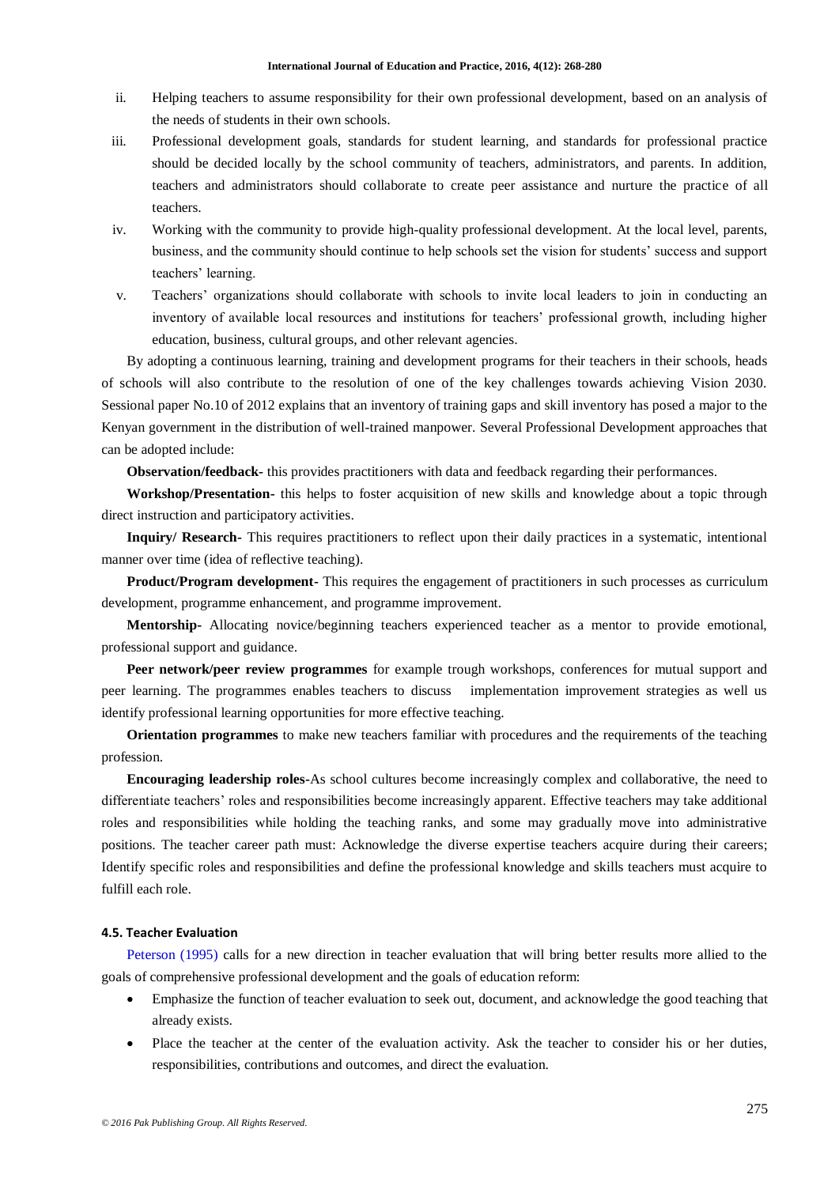- ii. Helping teachers to assume responsibility for their own professional development, based on an analysis of the needs of students in their own schools.
- iii. Professional development goals, standards for student learning, and standards for professional practice should be decided locally by the school community of teachers, administrators, and parents. In addition, teachers and administrators should collaborate to create peer assistance and nurture the practice of all teachers.
- iv. Working with the community to provide high-quality professional development. At the local level, parents, business, and the community should continue to help schools set the vision for students" success and support teachers' learning.
- v. Teachers" organizations should collaborate with schools to invite local leaders to join in conducting an inventory of available local resources and institutions for teachers" professional growth, including higher education, business, cultural groups, and other relevant agencies.

By adopting a continuous learning, training and development programs for their teachers in their schools, heads of schools will also contribute to the resolution of one of the key challenges towards achieving Vision 2030. Sessional paper No.10 of 2012 explains that an inventory of training gaps and skill inventory has posed a major to the Kenyan government in the distribution of well-trained manpower. Several Professional Development approaches that can be adopted include:

**Observation/feedback-** this provides practitioners with data and feedback regarding their performances.

**Workshop/Presentation-** this helps to foster acquisition of new skills and knowledge about a topic through direct instruction and participatory activities.

**Inquiry/ Research-** This requires practitioners to reflect upon their daily practices in a systematic, intentional manner over time (idea of reflective teaching).

**Product/Program development-** This requires the engagement of practitioners in such processes as curriculum development, programme enhancement, and programme improvement.

**Mentorship-** Allocating novice/beginning teachers experienced teacher as a mentor to provide emotional, professional support and guidance.

**Peer network/peer review programmes** for example trough workshops, conferences for mutual support and peer learning. The programmes enables teachers to discuss implementation improvement strategies as well us identify professional learning opportunities for more effective teaching.

**Orientation programmes** to make new teachers familiar with procedures and the requirements of the teaching profession.

**Encouraging leadership roles-**As school cultures become increasingly complex and collaborative, the need to differentiate teachers' roles and responsibilities become increasingly apparent. Effective teachers may take additional roles and responsibilities while holding the teaching ranks, and some may gradually move into administrative positions. The teacher career path must: Acknowledge the diverse expertise teachers acquire during their careers; Identify specific roles and responsibilities and define the professional knowledge and skills teachers must acquire to fulfill each role.

## **4.5. Teacher Evaluation**

[Peterson \(1995\)](#page-12-7) calls for a new direction in teacher evaluation that will bring better results more allied to the goals of comprehensive professional development and the goals of education reform:

- Emphasize the function of teacher evaluation to seek out, document, and acknowledge the good teaching that already exists.
- Place the teacher at the center of the evaluation activity. Ask the teacher to consider his or her duties, responsibilities, contributions and outcomes, and direct the evaluation.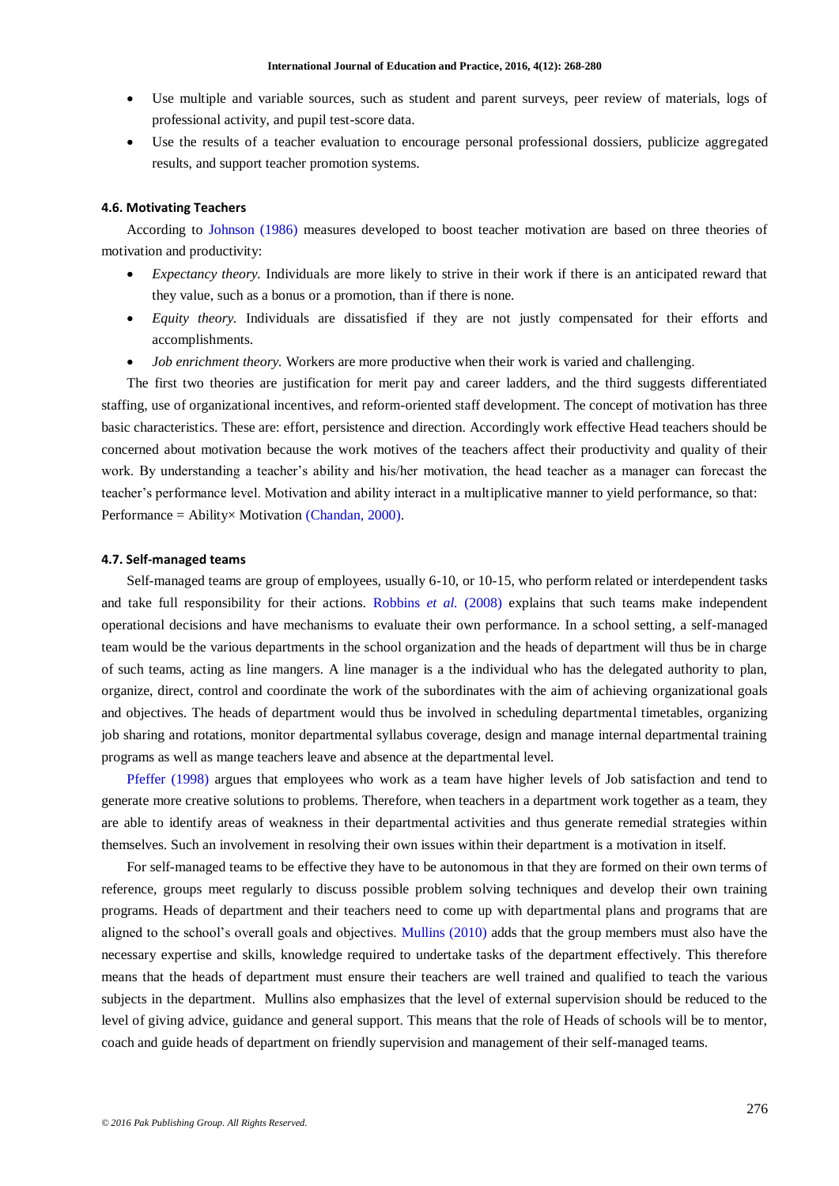- Use multiple and variable sources, such as student and parent surveys, peer review of materials, logs of professional activity, and pupil test-score data.
- Use the results of a teacher evaluation to encourage personal professional dossiers, publicize aggregated results, and support teacher promotion systems.

### **4.6. Motivating Teachers**

According to [Johnson \(1986\)](#page-11-18) measures developed to boost teacher motivation are based on three theories of motivation and productivity:

- *Expectancy theory.* Individuals are more likely to strive in their work if there is an anticipated reward that they value, such as a bonus or a promotion, than if there is none.
- *Equity theory.* Individuals are dissatisfied if they are not justly compensated for their efforts and accomplishments.
- *Job enrichment theory.* Workers are more productive when their work is varied and challenging.

The first two theories are justification for merit pay and career ladders, and the third suggests differentiated staffing, use of organizational incentives, and reform-oriented staff development. The concept of motivation has three basic characteristics. These are: effort, persistence and direction. Accordingly work effective Head teachers should be concerned about motivation because the work motives of the teachers affect their productivity and quality of their work. By understanding a teacher"s ability and his/her motivation, the head teacher as a manager can forecast the teacher"s performance level. Motivation and ability interact in a multiplicative manner to yield performance, so that: Performance = Ability× Motivation [\(Chandan, 2000\)](#page-11-19).

### **4.7. Self-managed teams**

Self-managed teams are group of employees, usually 6-10, or 10-15, who perform related or interdependent tasks and take full responsibility for their actions. [Robbins](#page-12-8) *et al.* (2008) explains that such teams make independent operational decisions and have mechanisms to evaluate their own performance. In a school setting, a self-managed team would be the various departments in the school organization and the heads of department will thus be in charge of such teams, acting as line mangers. A line manager is a the individual who has the delegated authority to plan, organize, direct, control and coordinate the work of the subordinates with the aim of achieving organizational goals and objectives. The heads of department would thus be involved in scheduling departmental timetables, organizing job sharing and rotations, monitor departmental syllabus coverage, design and manage internal departmental training programs as well as mange teachers leave and absence at the departmental level.

[Pfeffer \(1998\)](#page-12-9) argues that employees who work as a team have higher levels of Job satisfaction and tend to generate more creative solutions to problems. Therefore, when teachers in a department work together as a team, they are able to identify areas of weakness in their departmental activities and thus generate remedial strategies within themselves. Such an involvement in resolving their own issues within their department is a motivation in itself.

For self-managed teams to be effective they have to be autonomous in that they are formed on their own terms of reference, groups meet regularly to discuss possible problem solving techniques and develop their own training programs. Heads of department and their teachers need to come up with departmental plans and programs that are aligned to the school"s overall goals and objectives. [Mullins \(2010\)](#page-12-10) adds that the group members must also have the necessary expertise and skills, knowledge required to undertake tasks of the department effectively. This therefore means that the heads of department must ensure their teachers are well trained and qualified to teach the various subjects in the department. Mullins also emphasizes that the level of external supervision should be reduced to the level of giving advice, guidance and general support. This means that the role of Heads of schools will be to mentor, coach and guide heads of department on friendly supervision and management of their self-managed teams.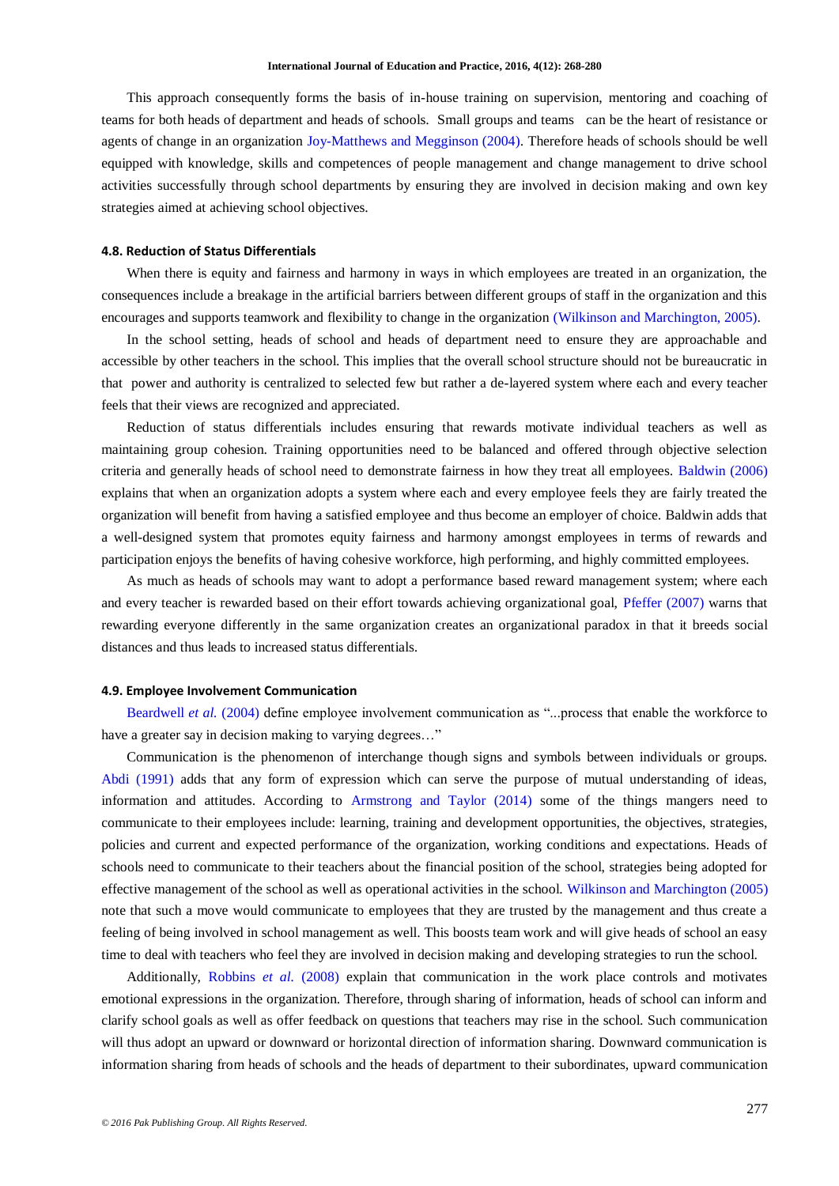This approach consequently forms the basis of in-house training on supervision, mentoring and coaching of teams for both heads of department and heads of schools. Small groups and teams can be the heart of resistance or agents of change in an organization [Joy-Matthews and Megginson \(2004\)](#page-11-20). Therefore heads of schools should be well equipped with knowledge, skills and competences of people management and change management to drive school activities successfully through school departments by ensuring they are involved in decision making and own key strategies aimed at achieving school objectives.

### **4.8. Reduction of Status Differentials**

When there is equity and fairness and harmony in ways in which employees are treated in an organization, the consequences include a breakage in the artificial barriers between different groups of staff in the organization and this encourages and supports teamwork and flexibility to change in the organization [\(Wilkinson and Marchington, 2005\)](#page-12-11).

In the school setting, heads of school and heads of department need to ensure they are approachable and accessible by other teachers in the school. This implies that the overall school structure should not be bureaucratic in that power and authority is centralized to selected few but rather a de-layered system where each and every teacher feels that their views are recognized and appreciated.

Reduction of status differentials includes ensuring that rewards motivate individual teachers as well as maintaining group cohesion. Training opportunities need to be balanced and offered through objective selection criteria and generally heads of school need to demonstrate fairness in how they treat all employees. [Baldwin \(2006\)](#page-11-21) explains that when an organization adopts a system where each and every employee feels they are fairly treated the organization will benefit from having a satisfied employee and thus become an employer of choice. Baldwin adds that a well-designed system that promotes equity fairness and harmony amongst employees in terms of rewards and participation enjoys the benefits of having cohesive workforce, high performing, and highly committed employees.

As much as heads of schools may want to adopt a performance based reward management system; where each and every teacher is rewarded based on their effort towards achieving organizational goal, [Pfeffer \(2007\)](#page-12-12) warns that rewarding everyone differently in the same organization creates an organizational paradox in that it breeds social distances and thus leads to increased status differentials.

### **4.9. Employee Involvement Communication**

[Beardwell](#page-11-22) *et al.* (2004) define employee involvement communication as "...process that enable the workforce to have a greater say in decision making to varying degrees..."

Communication is the phenomenon of interchange though signs and symbols between individuals or groups. [Abdi \(1991\)](#page-11-23) adds that any form of expression which can serve the purpose of mutual understanding of ideas, information and attitudes. According to [Armstrong and Taylor \(2014\)](#page-11-4) some of the things mangers need to communicate to their employees include: learning, training and development opportunities, the objectives, strategies, policies and current and expected performance of the organization, working conditions and expectations. Heads of schools need to communicate to their teachers about the financial position of the school, strategies being adopted for effective management of the school as well as operational activities in the school. [Wilkinson and Marchington \(2005\)](#page-12-11) note that such a move would communicate to employees that they are trusted by the management and thus create a feeling of being involved in school management as well. This boosts team work and will give heads of school an easy time to deal with teachers who feel they are involved in decision making and developing strategies to run the school.

Additionally, [Robbins](#page-12-8) *et al.* (2008) explain that communication in the work place controls and motivates emotional expressions in the organization. Therefore, through sharing of information, heads of school can inform and clarify school goals as well as offer feedback on questions that teachers may rise in the school. Such communication will thus adopt an upward or downward or horizontal direction of information sharing. Downward communication is information sharing from heads of schools and the heads of department to their subordinates, upward communication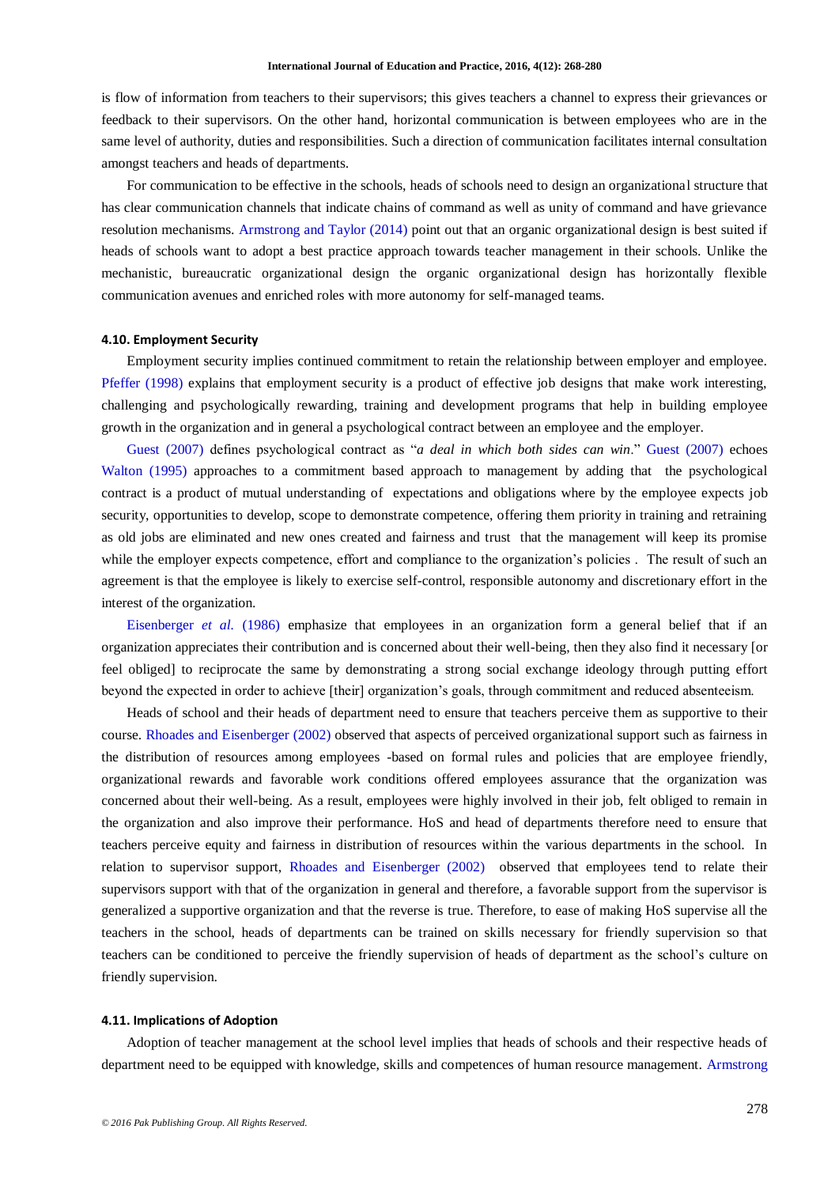is flow of information from teachers to their supervisors; this gives teachers a channel to express their grievances or feedback to their supervisors. On the other hand, horizontal communication is between employees who are in the same level of authority, duties and responsibilities. Such a direction of communication facilitates internal consultation amongst teachers and heads of departments.

For communication to be effective in the schools, heads of schools need to design an organizational structure that has clear communication channels that indicate chains of command as well as unity of command and have grievance resolution mechanisms. [Armstrong and Taylor \(2014\)](#page-11-4) point out that an organic organizational design is best suited if heads of schools want to adopt a best practice approach towards teacher management in their schools. Unlike the mechanistic, bureaucratic organizational design the organic organizational design has horizontally flexible communication avenues and enriched roles with more autonomy for self-managed teams.

### **4.10. Employment Security**

Employment security implies continued commitment to retain the relationship between employer and employee. [Pfeffer \(1998\)](#page-12-9) explains that employment security is a product of effective job designs that make work interesting, challenging and psychologically rewarding, training and development programs that help in building employee growth in the organization and in general a psychological contract between an employee and the employer.

[Guest \(2007\)](#page-11-24) defines psychological contract as "*a deal in which both sides can win*." [Guest \(2007\)](#page-11-24) echoes [Walton \(1995\)](#page-12-13) approaches to a commitment based approach to management by adding that the psychological contract is a product of mutual understanding of expectations and obligations where by the employee expects job security, opportunities to develop, scope to demonstrate competence, offering them priority in training and retraining as old jobs are eliminated and new ones created and fairness and trust that the management will keep its promise while the employer expects competence, effort and compliance to the organization's policies. The result of such an agreement is that the employee is likely to exercise self-control, responsible autonomy and discretionary effort in the interest of the organization.

[Eisenberger](#page-11-25) *et al.* (1986) emphasize that employees in an organization form a general belief that if an organization appreciates their contribution and is concerned about their well-being, then they also find it necessary [or feel obliged] to reciprocate the same by demonstrating a strong social exchange ideology through putting effort beyond the expected in order to achieve [their] organization"s goals, through commitment and reduced absenteeism.

Heads of school and their heads of department need to ensure that teachers perceive them as supportive to their course. [Rhoades and Eisenberger \(2002\)](#page-12-14) observed that aspects of perceived organizational support such as fairness in the distribution of resources among employees -based on formal rules and policies that are employee friendly, organizational rewards and favorable work conditions offered employees assurance that the organization was concerned about their well-being. As a result, employees were highly involved in their job, felt obliged to remain in the organization and also improve their performance. HoS and head of departments therefore need to ensure that teachers perceive equity and fairness in distribution of resources within the various departments in the school. In relation to supervisor support, [Rhoades and Eisenberger \(2002\)](#page-12-14) observed that employees tend to relate their supervisors support with that of the organization in general and therefore, a favorable support from the supervisor is generalized a supportive organization and that the reverse is true. Therefore, to ease of making HoS supervise all the teachers in the school, heads of departments can be trained on skills necessary for friendly supervision so that teachers can be conditioned to perceive the friendly supervision of heads of department as the school"s culture on friendly supervision.

### **4.11. Implications of Adoption**

Adoption of teacher management at the school level implies that heads of schools and their respective heads of department need to be equipped with knowledge, skills and competences of human resource management. [Armstrong](#page-11-4)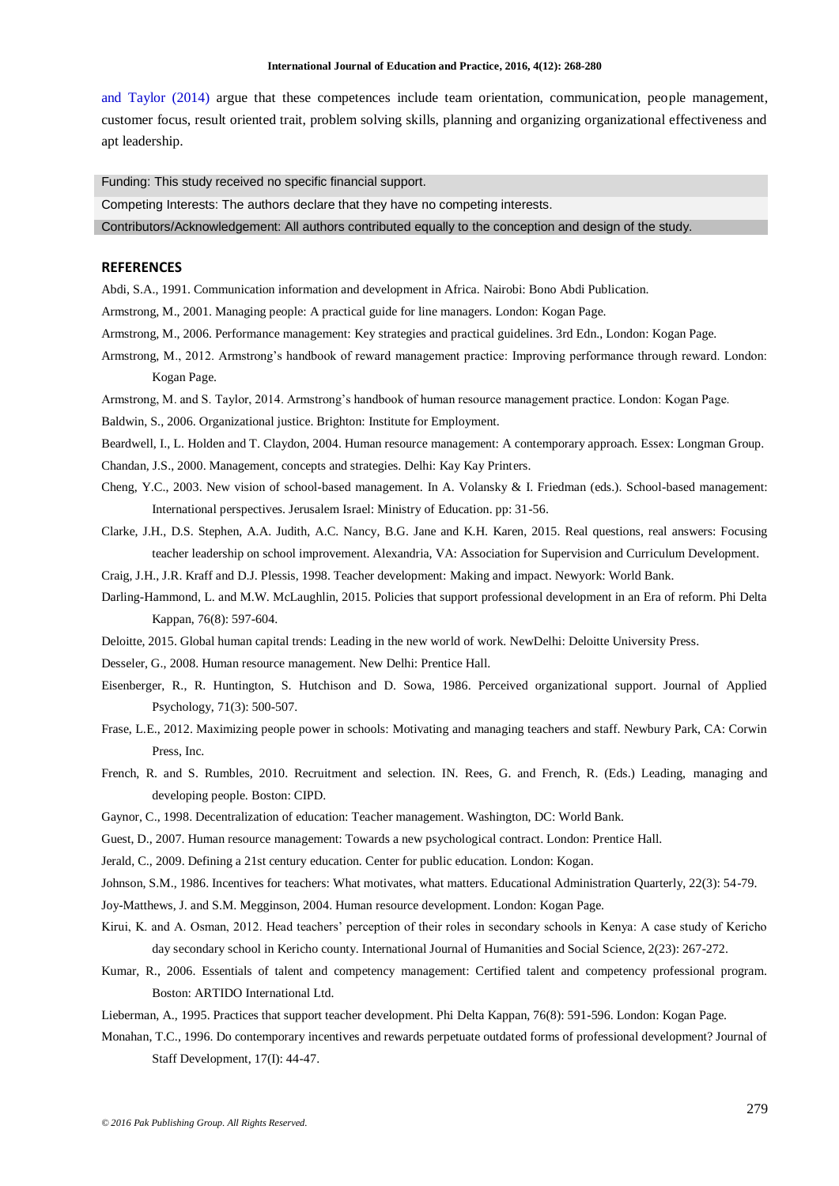[and Taylor \(2014\)](#page-11-4) argue that these competences include team orientation, communication, people management, customer focus, result oriented trait, problem solving skills, planning and organizing organizational effectiveness and apt leadership.

Funding: This study received no specific financial support.

Competing Interests: The authors declare that they have no competing interests.

Contributors/Acknowledgement: All authors contributed equally to the conception and design of the study.

## **REFERENCES**

<span id="page-11-23"></span>Abdi, S.A., 1991. Communication information and development in Africa. Nairobi: Bono Abdi Publication.

<span id="page-11-2"></span>Armstrong, M., 2001. Managing people: A practical guide for line managers. London: Kogan Page.

- <span id="page-11-5"></span>Armstrong, M., 2006. Performance management: Key strategies and practical guidelines. 3rd Edn., London: Kogan Page.
- <span id="page-11-3"></span>Armstrong, M., 2012. Armstrong"s handbook of reward management practice: Improving performance through reward. London: Kogan Page.

<span id="page-11-4"></span>Armstrong, M. and S. Taylor, 2014. Armstrong"s handbook of human resource management practice. London: Kogan Page.

<span id="page-11-21"></span>Baldwin, S., 2006. Organizational justice. Brighton: Institute for Employment.

<span id="page-11-22"></span>Beardwell, I., L. Holden and T. Claydon, 2004. Human resource management: A contemporary approach. Essex: Longman Group.

<span id="page-11-19"></span>Chandan, J.S., 2000. Management, concepts and strategies. Delhi: Kay Kay Printers.

- <span id="page-11-0"></span>Cheng, Y.C., 2003. New vision of school-based management. In A. Volansky & I. Friedman (eds.). School-based management: International perspectives. Jerusalem Israel: Ministry of Education. pp: 31-56.
- <span id="page-11-17"></span>Clarke, J.H., D.S. Stephen, A.A. Judith, A.C. Nancy, B.G. Jane and K.H. Karen, 2015. Real questions, real answers: Focusing teacher leadership on school improvement. Alexandria, VA: Association for Supervision and Curriculum Development.
- <span id="page-11-13"></span>Craig, J.H., J.R. Kraff and D.J. Plessis, 1998. Teacher development: Making and impact. Newyork: World Bank.
- <span id="page-11-15"></span>Darling-Hammond, L. and M.W. McLaughlin, 2015. Policies that support professional development in an Era of reform. Phi Delta Kappan, 76(8): 597-604.
- <span id="page-11-6"></span>Deloitte, 2015. Global human capital trends: Leading in the new world of work. NewDelhi: Deloitte University Press.
- <span id="page-11-7"></span>Desseler, G., 2008. Human resource management. New Delhi: Prentice Hall.
- <span id="page-11-25"></span>Eisenberger, R., R. Huntington, S. Hutchison and D. Sowa, 1986. Perceived organizational support. Journal of Applied Psychology, 71(3): 500-507.
- <span id="page-11-10"></span>Frase, L.E., 2012. Maximizing people power in schools: Motivating and managing teachers and staff. Newbury Park, CA: Corwin Press, Inc.
- <span id="page-11-8"></span>French, R. and S. Rumbles, 2010. Recruitment and selection. IN. Rees, G. and French, R. (Eds.) Leading, managing and developing people. Boston: CIPD.
- <span id="page-11-11"></span>Gaynor, C., 1998. Decentralization of education: Teacher management. Washington, DC: World Bank.
- <span id="page-11-24"></span>Guest, D., 2007. Human resource management: Towards a new psychological contract. London: Prentice Hall.
- <span id="page-11-12"></span>Jerald, C., 2009. Defining a 21st century education. Center for public education. London: Kogan.
- <span id="page-11-18"></span>Johnson, S.M., 1986. Incentives for teachers: What motivates, what matters. Educational Administration Quarterly, 22(3): 54-79.
- <span id="page-11-20"></span>Joy-Matthews, J. and S.M. Megginson, 2004. Human resource development. London: Kogan Page.
- <span id="page-11-1"></span>Kirui, K. and A. Osman, 2012. Head teachers" perception of their roles in secondary schools in Kenya: A case study of Kericho day secondary school in Kericho county. International Journal of Humanities and Social Science, 2(23): 267-272.
- <span id="page-11-9"></span>Kumar, R., 2006. Essentials of talent and competency management: Certified talent and competency professional program. Boston: ARTIDO International Ltd.
- <span id="page-11-14"></span>Lieberman, A., 1995. Practices that support teacher development. Phi Delta Kappan, 76(8): 591-596. London: Kogan Page.
- <span id="page-11-16"></span>Monahan, T.C., 1996. Do contemporary incentives and rewards perpetuate outdated forms of professional development? Journal of Staff Development, 17(I): 44-47.